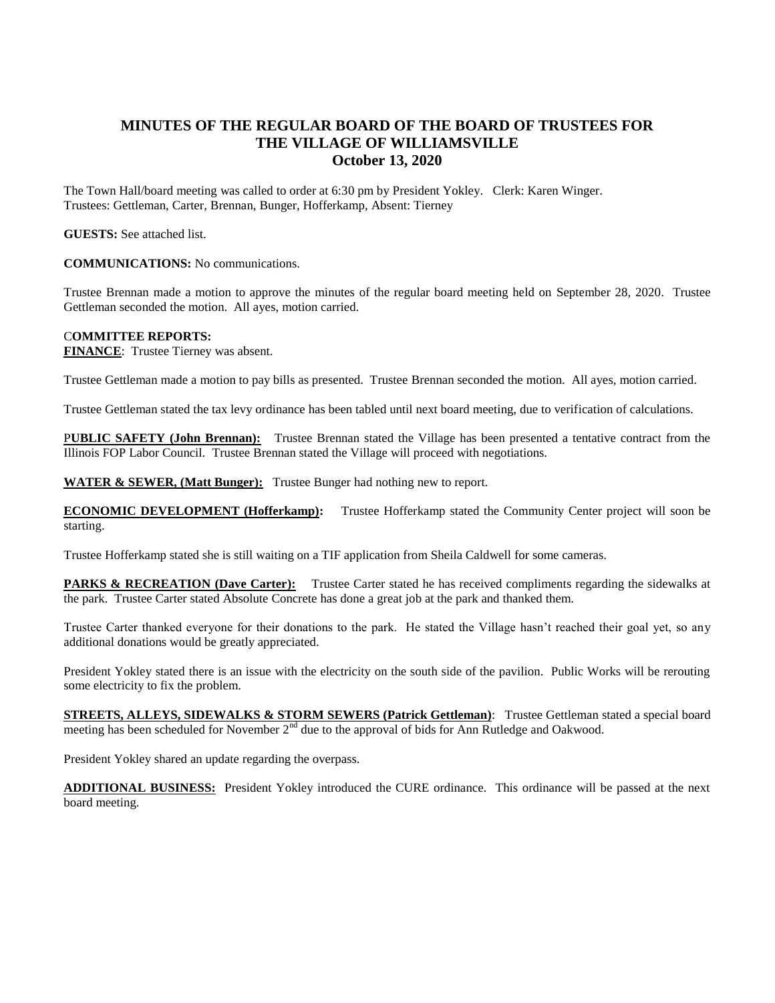## **MINUTES OF THE REGULAR BOARD OF THE BOARD OF TRUSTEES FOR THE VILLAGE OF WILLIAMSVILLE October 13, 2020**

The Town Hall/board meeting was called to order at 6:30 pm by President Yokley. Clerk: Karen Winger. Trustees: Gettleman, Carter, Brennan, Bunger, Hofferkamp, Absent: Tierney

**GUESTS:** See attached list.

**COMMUNICATIONS:** No communications.

Trustee Brennan made a motion to approve the minutes of the regular board meeting held on September 28, 2020. Trustee Gettleman seconded the motion. All ayes, motion carried.

## C**OMMITTEE REPORTS:**

**FINANCE**: Trustee Tierney was absent.

Trustee Gettleman made a motion to pay bills as presented. Trustee Brennan seconded the motion. All ayes, motion carried.

Trustee Gettleman stated the tax levy ordinance has been tabled until next board meeting, due to verification of calculations.

P**UBLIC SAFETY (John Brennan):** Trustee Brennan stated the Village has been presented a tentative contract from the Illinois FOP Labor Council. Trustee Brennan stated the Village will proceed with negotiations.

**WATER & SEWER, (Matt Bunger):** Trustee Bunger had nothing new to report.

**ECONOMIC DEVELOPMENT (Hofferkamp):** Trustee Hofferkamp stated the Community Center project will soon be starting.

Trustee Hofferkamp stated she is still waiting on a TIF application from Sheila Caldwell for some cameras.

**PARKS & RECREATION (Dave Carter):** Trustee Carter stated he has received compliments regarding the sidewalks at the park. Trustee Carter stated Absolute Concrete has done a great job at the park and thanked them.

Trustee Carter thanked everyone for their donations to the park. He stated the Village hasn't reached their goal yet, so any additional donations would be greatly appreciated.

President Yokley stated there is an issue with the electricity on the south side of the pavilion. Public Works will be rerouting some electricity to fix the problem.

**STREETS, ALLEYS, SIDEWALKS & STORM SEWERS (Patrick Gettleman)**: Trustee Gettleman stated a special board meeting has been scheduled for November 2<sup>nd</sup> due to the approval of bids for Ann Rutledge and Oakwood.

President Yokley shared an update regarding the overpass.

**ADDITIONAL BUSINESS:** President Yokley introduced the CURE ordinance. This ordinance will be passed at the next board meeting.